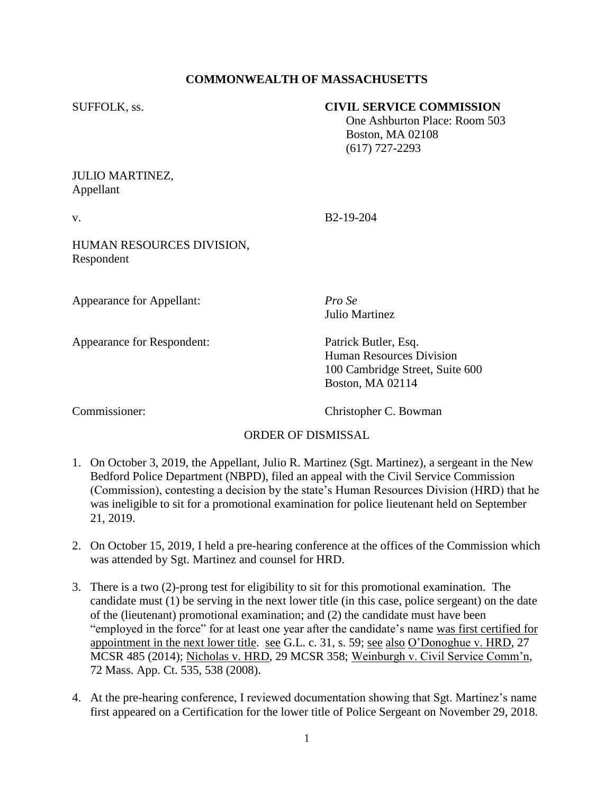# **COMMONWEALTH OF MASSACHUSETTS**

#### SUFFOLK, ss. **CIVIL SERVICE COMMISSION**

 One Ashburton Place: Room 503 Boston, MA 02108 (617) 727-2293

#### JULIO MARTINEZ, Appellant

v. B2-19-204

## HUMAN RESOURCES DIVISION, Respondent

Appearance for Appellant: *Pro Se*

Appearance for Respondent: Patrick Butler, Esq.

Julio Martinez

Human Resources Division 100 Cambridge Street, Suite 600 Boston, MA 02114

Commissioner: Christopher C. Bowman

# ORDER OF DISMISSAL

- 1. On October 3, 2019, the Appellant, Julio R. Martinez (Sgt. Martinez), a sergeant in the New Bedford Police Department (NBPD), filed an appeal with the Civil Service Commission (Commission), contesting a decision by the state's Human Resources Division (HRD) that he was ineligible to sit for a promotional examination for police lieutenant held on September 21, 2019.
- 2. On October 15, 2019, I held a pre-hearing conference at the offices of the Commission which was attended by Sgt. Martinez and counsel for HRD.
- 3. There is a two (2)-prong test for eligibility to sit for this promotional examination. The candidate must (1) be serving in the next lower title (in this case, police sergeant) on the date of the (lieutenant) promotional examination; and (2) the candidate must have been "employed in the force" for at least one year after the candidate's name was first certified for appointment in the next lower title. see G.L. c. 31, s. 59; see also O'Donoghue v. HRD, 27 MCSR 485 (2014); Nicholas v. HRD, 29 MCSR 358; Weinburgh v. Civil Service Comm'n, 72 Mass. App. Ct. 535, 538 (2008).
- 4. At the pre-hearing conference, I reviewed documentation showing that Sgt. Martinez's name first appeared on a Certification for the lower title of Police Sergeant on November 29, 2018.